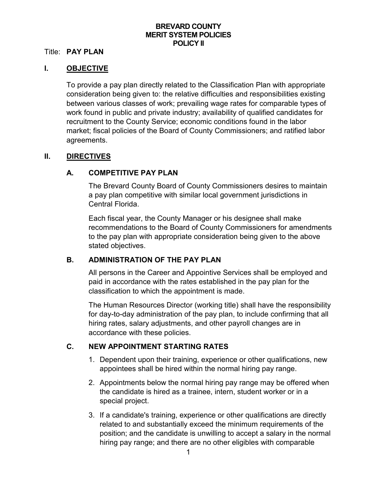### **BREVARD COUNTY MERIT SYSTEM POLICIES POLICY II**

### Title: **PAY PLAN**

### **I. OBJECTIVE**

To provide a pay plan directly related to the Classification Plan with appropriate consideration being given to: the relative difficulties and responsibilities existing between various classes of work; prevailing wage rates for comparable types of work found in public and private industry; availability of qualified candidates for recruitment to the County Service; economic conditions found in the labor market; fiscal policies of the Board of County Commissioners; and ratified labor agreements.

### **II. DIRECTIVES**

### **A. COMPETITIVE PAY PLAN**

The Brevard County Board of County Commissioners desires to maintain a pay plan competitive with similar local government jurisdictions in Central Florida.

Each fiscal year, the County Manager or his designee shall make recommendations to the Board of County Commissioners for amendments to the pay plan with appropriate consideration being given to the above stated objectives.

## **B. ADMINISTRATION OF THE PAY PLAN**

All persons in the Career and Appointive Services shall be employed and paid in accordance with the rates established in the pay plan for the classification to which the appointment is made.

The Human Resources Director (working title) shall have the responsibility for day-to-day administration of the pay plan, to include confirming that all hiring rates, salary adjustments, and other payroll changes are in accordance with these policies.

### **C. NEW APPOINTMENT STARTING RATES**

- 1. Dependent upon their training, experience or other qualifications, new appointees shall be hired within the normal hiring pay range.
- 2. Appointments below the normal hiring pay range may be offered when the candidate is hired as a trainee, intern, student worker or in a special project.
- 3. If a candidate's training, experience or other qualifications are directly related to and substantially exceed the minimum requirements of the position; and the candidate is unwilling to accept a salary in the normal hiring pay range; and there are no other eligibles with comparable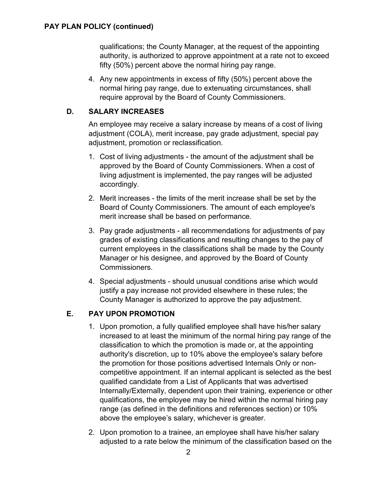qualifications; the County Manager, at the request of the appointing authority, is authorized to approve appointment at a rate not to exceed fifty (50%) percent above the normal hiring pay range.

4. Any new appointments in excess of fifty (50%) percent above the normal hiring pay range, due to extenuating circumstances, shall require approval by the Board of County Commissioners.

## **D. SALARY INCREASES**

An employee may receive a salary increase by means of a cost of living adjustment (COLA), merit increase, pay grade adjustment, special pay adjustment, promotion or reclassification.

- 1. Cost of living adjustments the amount of the adjustment shall be approved by the Board of County Commissioners. When a cost of living adjustment is implemented, the pay ranges will be adjusted accordingly.
- 2. Merit increases the limits of the merit increase shall be set by the Board of County Commissioners. The amount of each employee's merit increase shall be based on performance.
- 3. Pay grade adjustments all recommendations for adjustments of pay grades of existing classifications and resulting changes to the pay of current employees in the classifications shall be made by the County Manager or his designee, and approved by the Board of County Commissioners.
- 4. Special adjustments should unusual conditions arise which would justify a pay increase not provided elsewhere in these rules; the County Manager is authorized to approve the pay adjustment.

# **E. PAY UPON PROMOTION**

- 1. Upon promotion, a fully qualified employee shall have his/her salary increased to at least the minimum of the normal hiring pay range of the classification to which the promotion is made or, at the appointing authority's discretion, up to 10% above the employee's salary before the promotion for those positions advertised Internals Only or noncompetitive appointment. If an internal applicant is selected as the best qualified candidate from a List of Applicants that was advertised Internally/Externally, dependent upon their training, experience or other qualifications, the employee may be hired within the normal hiring pay range (as defined in the definitions and references section) or 10% above the employee's salary, whichever is greater.
- 2. Upon promotion to a trainee, an employee shall have his/her salary adjusted to a rate below the minimum of the classification based on the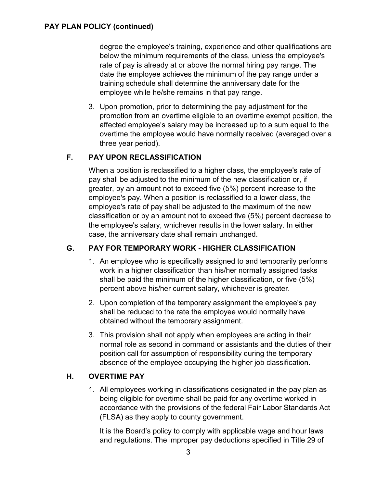degree the employee's training, experience and other qualifications are below the minimum requirements of the class, unless the employee's rate of pay is already at or above the normal hiring pay range. The date the employee achieves the minimum of the pay range under a training schedule shall determine the anniversary date for the employee while he/she remains in that pay range.

3. Upon promotion, prior to determining the pay adjustment for the promotion from an overtime eligible to an overtime exempt position, the affected employee's salary may be increased up to a sum equal to the overtime the employee would have normally received (averaged over a three year period).

## **F. PAY UPON RECLASSIFICATION**

When a position is reclassified to a higher class, the employee's rate of pay shall be adjusted to the minimum of the new classification or, if greater, by an amount not to exceed five (5%) percent increase to the employee's pay. When a position is reclassified to a lower class, the employee's rate of pay shall be adjusted to the maximum of the new classification or by an amount not to exceed five (5%) percent decrease to the employee's salary, whichever results in the lower salary. In either case, the anniversary date shall remain unchanged.

## **G. PAY FOR TEMPORARY WORK - HIGHER CLASSIFICATION**

- 1. An employee who is specifically assigned to and temporarily performs work in a higher classification than his/her normally assigned tasks shall be paid the minimum of the higher classification, or five (5%) percent above his/her current salary, whichever is greater.
- 2. Upon completion of the temporary assignment the employee's pay shall be reduced to the rate the employee would normally have obtained without the temporary assignment.
- 3. This provision shall not apply when employees are acting in their normal role as second in command or assistants and the duties of their position call for assumption of responsibility during the temporary absence of the employee occupying the higher job classification.

## **H. OVERTIME PAY**

1. All employees working in classifications designated in the pay plan as being eligible for overtime shall be paid for any overtime worked in accordance with the provisions of the federal Fair Labor Standards Act (FLSA) as they apply to county government.

It is the Board's policy to comply with applicable wage and hour laws and regulations. The improper pay deductions specified in Title 29 of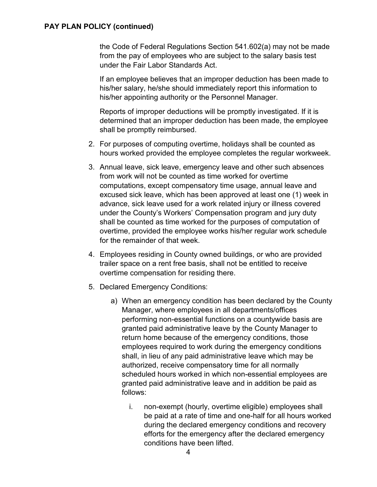#### **PAY PLAN POLICY (continued)**

the Code of Federal Regulations Section 541.602(a) may not be made from the pay of employees who are subject to the salary basis test under the Fair Labor Standards Act.

If an employee believes that an improper deduction has been made to his/her salary, he/she should immediately report this information to his/her appointing authority or the Personnel Manager.

Reports of improper deductions will be promptly investigated. If it is determined that an improper deduction has been made, the employee shall be promptly reimbursed.

- 2. For purposes of computing overtime, holidays shall be counted as hours worked provided the employee completes the regular workweek.
- 3. Annual leave, sick leave, emergency leave and other such absences from work will not be counted as time worked for overtime computations, except compensatory time usage, annual leave and excused sick leave, which has been approved at least one (1) week in advance, sick leave used for a work related injury or illness covered under the County's Workers' Compensation program and jury duty shall be counted as time worked for the purposes of computation of overtime, provided the employee works his/her regular work schedule for the remainder of that week.
- 4. Employees residing in County owned buildings, or who are provided trailer space on a rent free basis, shall not be entitled to receive overtime compensation for residing there.
- 5. Declared Emergency Conditions:
	- a) When an emergency condition has been declared by the County Manager, where employees in all departments/offices performing non-essential functions on a countywide basis are granted paid administrative leave by the County Manager to return home because of the emergency conditions, those employees required to work during the emergency conditions shall, in lieu of any paid administrative leave which may be authorized, receive compensatory time for all normally scheduled hours worked in which non-essential employees are granted paid administrative leave and in addition be paid as follows:
		- i. non-exempt (hourly, overtime eligible) employees shall be paid at a rate of time and one-half for all hours worked during the declared emergency conditions and recovery efforts for the emergency after the declared emergency conditions have been lifted.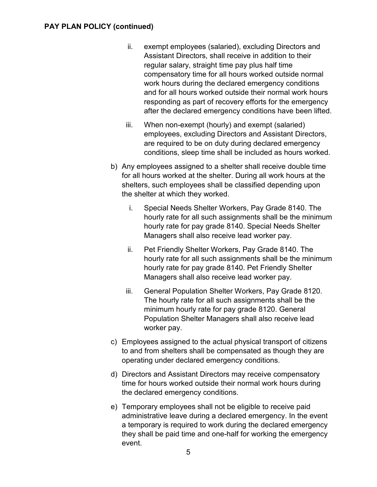- ii. exempt employees (salaried), excluding Directors and Assistant Directors, shall receive in addition to their regular salary, straight time pay plus half time compensatory time for all hours worked outside normal work hours during the declared emergency conditions and for all hours worked outside their normal work hours responding as part of recovery efforts for the emergency after the declared emergency conditions have been lifted.
- iii. When non-exempt (hourly) and exempt (salaried) employees, excluding Directors and Assistant Directors, are required to be on duty during declared emergency conditions, sleep time shall be included as hours worked.
- b) Any employees assigned to a shelter shall receive double time for all hours worked at the shelter. During all work hours at the shelters, such employees shall be classified depending upon the shelter at which they worked.
	- i. Special Needs Shelter Workers, Pay Grade 8140. The hourly rate for all such assignments shall be the minimum hourly rate for pay grade 8140. Special Needs Shelter Managers shall also receive lead worker pay.
	- ii. Pet Friendly Shelter Workers, Pay Grade 8140. The hourly rate for all such assignments shall be the minimum hourly rate for pay grade 8140. Pet Friendly Shelter Managers shall also receive lead worker pay.
	- iii. General Population Shelter Workers, Pay Grade 8120. The hourly rate for all such assignments shall be the minimum hourly rate for pay grade 8120. General Population Shelter Managers shall also receive lead worker pay.
- c) Employees assigned to the actual physical transport of citizens to and from shelters shall be compensated as though they are operating under declared emergency conditions.
- d) Directors and Assistant Directors may receive compensatory time for hours worked outside their normal work hours during the declared emergency conditions.
- e) Temporary employees shall not be eligible to receive paid administrative leave during a declared emergency. In the event a temporary is required to work during the declared emergency they shall be paid time and one-half for working the emergency event.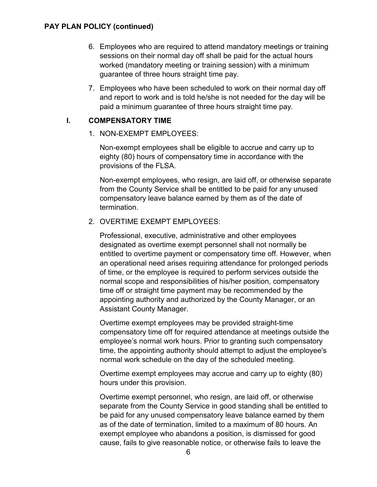### **PAY PLAN POLICY (continued)**

- 6. Employees who are required to attend mandatory meetings or training sessions on their normal day off shall be paid for the actual hours worked (mandatory meeting or training session) with a minimum guarantee of three hours straight time pay.
- 7. Employees who have been scheduled to work on their normal day off and report to work and is told he/she is not needed for the day will be paid a minimum guarantee of three hours straight time pay.

### **I. COMPENSATORY TIME**

1. NON-EXEMPT EMPLOYEES:

Non-exempt employees shall be eligible to accrue and carry up to eighty (80) hours of compensatory time in accordance with the provisions of the FLSA.

Non-exempt employees, who resign, are laid off, or otherwise separate from the County Service shall be entitled to be paid for any unused compensatory leave balance earned by them as of the date of termination.

#### 2. OVERTIME EXEMPT EMPLOYEES:

Professional, executive, administrative and other employees designated as overtime exempt personnel shall not normally be entitled to overtime payment or compensatory time off. However, when an operational need arises requiring attendance for prolonged periods of time, or the employee is required to perform services outside the normal scope and responsibilities of his/her position, compensatory time off or straight time payment may be recommended by the appointing authority and authorized by the County Manager, or an Assistant County Manager.

Overtime exempt employees may be provided straight-time compensatory time off for required attendance at meetings outside the employee's normal work hours. Prior to granting such compensatory time, the appointing authority should attempt to adjust the employee's normal work schedule on the day of the scheduled meeting.

Overtime exempt employees may accrue and carry up to eighty (80) hours under this provision.

Overtime exempt personnel, who resign, are laid off, or otherwise separate from the County Service in good standing shall be entitled to be paid for any unused compensatory leave balance earned by them as of the date of termination, limited to a maximum of 80 hours. An exempt employee who abandons a position, is dismissed for good cause, fails to give reasonable notice, or otherwise fails to leave the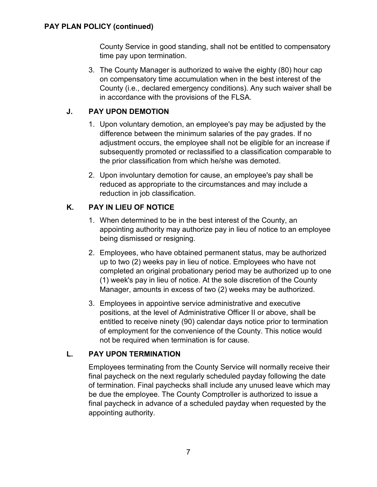County Service in good standing, shall not be entitled to compensatory time pay upon termination.

3. The County Manager is authorized to waive the eighty (80) hour cap on compensatory time accumulation when in the best interest of the County (i.e., declared emergency conditions). Any such waiver shall be in accordance with the provisions of the FLSA.

# **J. PAY UPON DEMOTION**

- 1. Upon voluntary demotion, an employee's pay may be adjusted by the difference between the minimum salaries of the pay grades. If no adjustment occurs, the employee shall not be eligible for an increase if subsequently promoted or reclassified to a classification comparable to the prior classification from which he/she was demoted.
- 2. Upon involuntary demotion for cause, an employee's pay shall be reduced as appropriate to the circumstances and may include a reduction in job classification.

# **K. PAY IN LIEU OF NOTICE**

- 1. When determined to be in the best interest of the County, an appointing authority may authorize pay in lieu of notice to an employee being dismissed or resigning.
- 2. Employees, who have obtained permanent status, may be authorized up to two (2) weeks pay in lieu of notice. Employees who have not completed an original probationary period may be authorized up to one (1) week's pay in lieu of notice. At the sole discretion of the County Manager, amounts in excess of two (2) weeks may be authorized.
- 3. Employees in appointive service administrative and executive positions, at the level of Administrative Officer II or above, shall be entitled to receive ninety (90) calendar days notice prior to termination of employment for the convenience of the County. This notice would not be required when termination is for cause.

# **L. PAY UPON TERMINATION**

Employees terminating from the County Service will normally receive their final paycheck on the next regularly scheduled payday following the date of termination. Final paychecks shall include any unused leave which may be due the employee. The County Comptroller is authorized to issue a final paycheck in advance of a scheduled payday when requested by the appointing authority.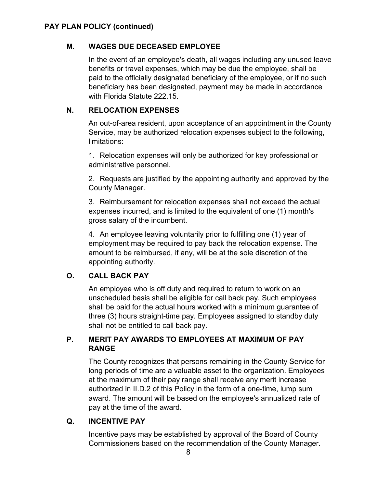## **M. WAGES DUE DECEASED EMPLOYEE**

In the event of an employee's death, all wages including any unused leave benefits or travel expenses, which may be due the employee, shall be paid to the officially designated beneficiary of the employee, or if no such beneficiary has been designated, payment may be made in accordance with Florida Statute 222.15.

# **N. RELOCATION EXPENSES**

An out-of-area resident, upon acceptance of an appointment in the County Service, may be authorized relocation expenses subject to the following, limitations:

1. Relocation expenses will only be authorized for key professional or administrative personnel.

2. Requests are justified by the appointing authority and approved by the County Manager.

3. Reimbursement for relocation expenses shall not exceed the actual expenses incurred, and is limited to the equivalent of one (1) month's gross salary of the incumbent.

4. An employee leaving voluntarily prior to fulfilling one (1) year of employment may be required to pay back the relocation expense. The amount to be reimbursed, if any, will be at the sole discretion of the appointing authority.

# **O. CALL BACK PAY**

An employee who is off duty and required to return to work on an unscheduled basis shall be eligible for call back pay. Such employees shall be paid for the actual hours worked with a minimum guarantee of three (3) hours straight-time pay. Employees assigned to standby duty shall not be entitled to call back pay.

## **P. MERIT PAY AWARDS TO EMPLOYEES AT MAXIMUM OF PAY RANGE**

The County recognizes that persons remaining in the County Service for long periods of time are a valuable asset to the organization. Employees at the maximum of their pay range shall receive any merit increase authorized in II.D.2 of this Policy in the form of a one-time, lump sum award. The amount will be based on the employee's annualized rate of pay at the time of the award.

# **Q. INCENTIVE PAY**

Incentive pays may be established by approval of the Board of County Commissioners based on the recommendation of the County Manager.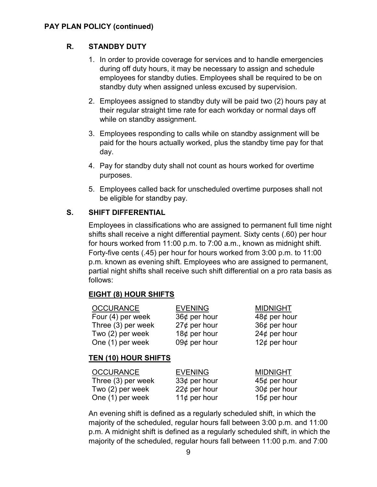### **PAY PLAN POLICY (continued)**

## **R. STANDBY DUTY**

- 1. In order to provide coverage for services and to handle emergencies during off duty hours, it may be necessary to assign and schedule employees for standby duties. Employees shall be required to be on standby duty when assigned unless excused by supervision.
- 2. Employees assigned to standby duty will be paid two (2) hours pay at their regular straight time rate for each workday or normal days off while on standby assignment.
- 3. Employees responding to calls while on standby assignment will be paid for the hours actually worked, plus the standby time pay for that day.
- 4. Pay for standby duty shall not count as hours worked for overtime purposes.
- 5. Employees called back for unscheduled overtime purposes shall not be eligible for standby pay.

## **S. SHIFT DIFFERENTIAL**

Employees in classifications who are assigned to permanent full time night shifts shall receive a night differential payment. Sixty cents (.60) per hour for hours worked from 11:00 p.m. to 7:00 a.m., known as midnight shift. Forty-five cents (.45) per hour for hours worked from 3:00 p.m. to 11:00 p.m. known as evening shift. Employees who are assigned to permanent, partial night shifts shall receive such shift differential on a pro rata basis as follows:

### **EIGHT (8) HOUR SHIFTS**

| <b>OCCURANCE</b>   | <b>EVENING</b>     | <b>MIDNIGHT</b> |
|--------------------|--------------------|-----------------|
| Four (4) per week  | $36¢$ per hour     | $48¢$ per hour  |
| Three (3) per week | $27¢$ per hour     | $36¢$ per hour  |
| Two (2) per week   | 18 $\phi$ per hour | $24¢$ per hour  |
| One (1) per week   | 09 $¢$ per hour    | 12¢ per hour    |

## **TEN (10) HOUR SHIFTS**

| <b>OCCURANCE</b>   | <b>EVENING</b> | <b>MIDNIGHT</b>    |
|--------------------|----------------|--------------------|
| Three (3) per week | $33¢$ per hour | $45¢$ per hour     |
| Two (2) per week   | $22¢$ per hour | 30 $\phi$ per hour |
| One (1) per week   | 11¢ per hour   | 15¢ per hour       |

An evening shift is defined as a regularly scheduled shift, in which the majority of the scheduled, regular hours fall between 3:00 p.m. and 11:00 p.m. A midnight shift is defined as a regularly scheduled shift, in which the majority of the scheduled, regular hours fall between 11:00 p.m. and 7:00